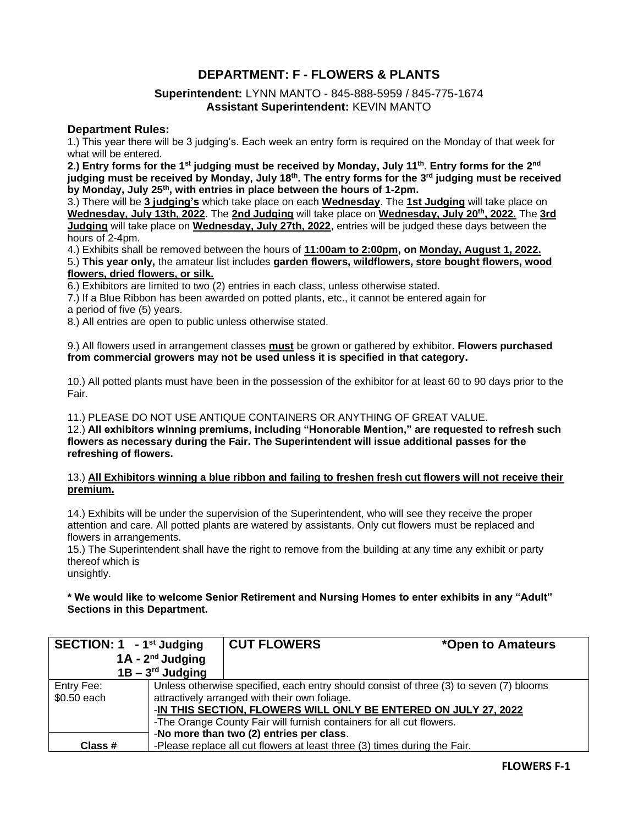## **DEPARTMENT: F - FLOWERS & PLANTS**

### **Superintendent:** LYNN MANTO - 845-888-5959 / 845-775-1674 **Assistant Superintendent:** KEVIN MANTO

#### **Department Rules:**

1.) This year there will be 3 judging's. Each week an entry form is required on the Monday of that week for what will be entered.

**2.) Entry forms for the 1st judging must be received by Monday, July 11th . Entry forms for the 2nd judging must be received by Monday, July 18th . The entry forms for the 3rd judging must be received by Monday, July 25th, with entries in place between the hours of 1-2pm.**

3.) There will be **3 judging's** which take place on each **Wednesday**. The **1st Judging** will take place on **Wednesday, July 13th, 2022**. The **2nd Judging** will take place on **Wednesday, July 20th, 2022.** The **3rd Judging** will take place on **Wednesday, July 27th, 2022**, entries will be judged these days between the hours of 2-4pm.

4.) Exhibits shall be removed between the hours of **11:00am to 2:00pm, on Monday, August 1, 2022.** 5.) **This year only,** the amateur list includes **garden flowers, wildflowers, store bought flowers, wood flowers, dried flowers, or silk.**

6.) Exhibitors are limited to two (2) entries in each class, unless otherwise stated.

7.) If a Blue Ribbon has been awarded on potted plants, etc., it cannot be entered again for a period of five (5) years.

8.) All entries are open to public unless otherwise stated.

9.) All flowers used in arrangement classes **must** be grown or gathered by exhibitor. **Flowers purchased from commercial growers may not be used unless it is specified in that category.**

10.) All potted plants must have been in the possession of the exhibitor for at least 60 to 90 days prior to the Fair.

11.) PLEASE DO NOT USE ANTIQUE CONTAINERS OR ANYTHING OF GREAT VALUE.

12.) **All exhibitors winning premiums, including "Honorable Mention," are requested to refresh such flowers as necessary during the Fair. The Superintendent will issue additional passes for the refreshing of flowers.**

#### 13.) **All Exhibitors winning a blue ribbon and failing to freshen fresh cut flowers will not receive their premium.**

14.) Exhibits will be under the supervision of the Superintendent, who will see they receive the proper attention and care. All potted plants are watered by assistants. Only cut flowers must be replaced and flowers in arrangements.

15.) The Superintendent shall have the right to remove from the building at any time any exhibit or party thereof which is

unsightly.

**\* We would like to welcome Senior Retirement and Nursing Homes to enter exhibits in any "Adult" Sections in this Department.**

| <b>SECTION: 1 - 1st Judging</b> |                       | <b>CUT FLOWERS</b>                                                        | *Open to Amateurs                                                                      |
|---------------------------------|-----------------------|---------------------------------------------------------------------------|----------------------------------------------------------------------------------------|
|                                 | $1A - 2nd$ Judging    |                                                                           |                                                                                        |
|                                 | $1B - 3^{rd}$ Judging |                                                                           |                                                                                        |
| Entry Fee:                      |                       |                                                                           | Unless otherwise specified, each entry should consist of three (3) to seven (7) blooms |
| \$0.50 each                     |                       | attractively arranged with their own foliage.                             |                                                                                        |
|                                 |                       |                                                                           | -IN THIS SECTION, FLOWERS WILL ONLY BE ENTERED ON JULY 27, 2022                        |
|                                 |                       | -The Orange County Fair will furnish containers for all cut flowers.      |                                                                                        |
|                                 |                       | -No more than two (2) entries per class.                                  |                                                                                        |
| Class #                         |                       | -Please replace all cut flowers at least three (3) times during the Fair. |                                                                                        |

**FLOWERS F-1**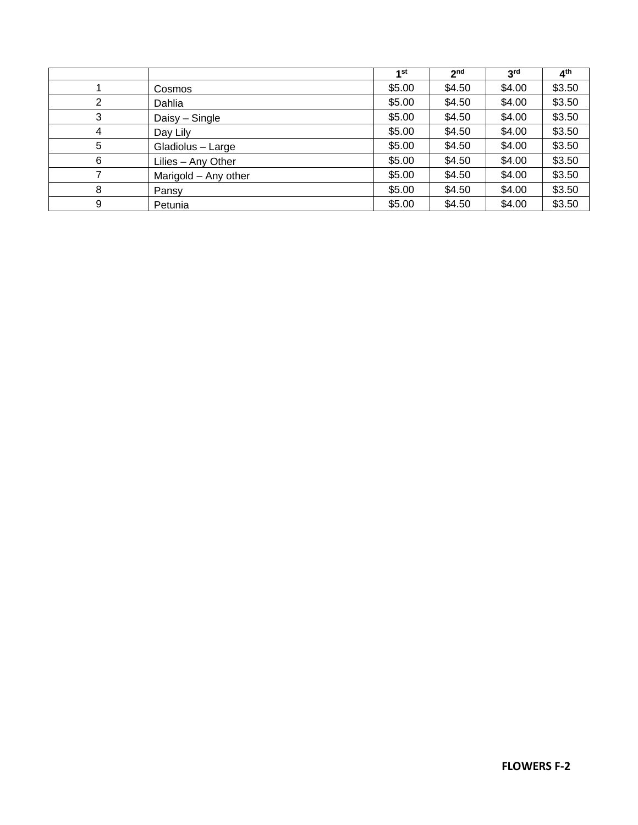|   |                      | 1st    | 2 <sub>nd</sub> | 3 <sup>rd</sup> | 4 <sup>th</sup> |
|---|----------------------|--------|-----------------|-----------------|-----------------|
|   | Cosmos               | \$5.00 | \$4.50          | \$4.00          | \$3.50          |
| 2 | Dahlia               | \$5.00 | \$4.50          | \$4.00          | \$3.50          |
| 3 | Daisy - Single       | \$5.00 | \$4.50          | \$4.00          | \$3.50          |
| 4 | Day Lily             | \$5.00 | \$4.50          | \$4.00          | \$3.50          |
| 5 | Gladiolus - Large    | \$5.00 | \$4.50          | \$4.00          | \$3.50          |
| 6 | Lilies - Any Other   | \$5.00 | \$4.50          | \$4.00          | \$3.50          |
|   | Marigold - Any other | \$5.00 | \$4.50          | \$4.00          | \$3.50          |
| 8 | Pansy                | \$5.00 | \$4.50          | \$4.00          | \$3.50          |
| 9 | Petunia              | \$5.00 | \$4.50          | \$4.00          | \$3.50          |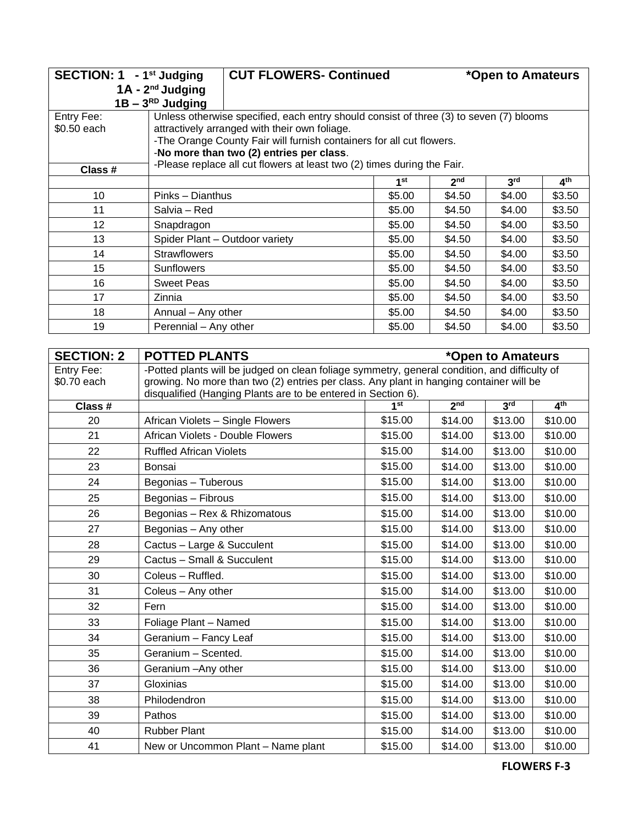|             | SECTION: 1 - 1 <sup>st</sup> Judging<br><b>CUT FLOWERS- Continued</b>   |                                                                                        |        |                 | *Open to Amateurs |                 |
|-------------|-------------------------------------------------------------------------|----------------------------------------------------------------------------------------|--------|-----------------|-------------------|-----------------|
|             | $1A - 2nd$ Judging                                                      |                                                                                        |        |                 |                   |                 |
|             | $1B - 3^{RD}$ Judging                                                   |                                                                                        |        |                 |                   |                 |
| Entry Fee:  |                                                                         | Unless otherwise specified, each entry should consist of three (3) to seven (7) blooms |        |                 |                   |                 |
| \$0.50 each |                                                                         | attractively arranged with their own foliage.                                          |        |                 |                   |                 |
|             |                                                                         | -The Orange County Fair will furnish containers for all cut flowers.                   |        |                 |                   |                 |
|             |                                                                         | -No more than two (2) entries per class.                                               |        |                 |                   |                 |
| Class #     | -Please replace all cut flowers at least two (2) times during the Fair. |                                                                                        |        |                 |                   |                 |
|             |                                                                         |                                                                                        | 1st    | 2 <sub>nd</sub> | 3 <sup>rd</sup>   | 4 <sup>th</sup> |
| 10          | Pinks - Dianthus                                                        |                                                                                        | \$5.00 | \$4.50          | \$4.00            | \$3.50          |
| 11          | Salvia – Red                                                            |                                                                                        | \$5.00 | \$4.50          | \$4.00            | \$3.50          |
| 12          | Snapdragon                                                              |                                                                                        | \$5.00 | \$4.50          | \$4.00            | \$3.50          |
| 13          |                                                                         | Spider Plant - Outdoor variety                                                         | \$5.00 | \$4.50          | \$4.00            | \$3.50          |
| 14          | <b>Strawflowers</b>                                                     |                                                                                        | \$5.00 | \$4.50          | \$4.00            | \$3.50          |
| 15          | <b>Sunflowers</b>                                                       |                                                                                        | \$5.00 | \$4.50          | \$4.00            | \$3.50          |
| 16          | <b>Sweet Peas</b>                                                       |                                                                                        | \$5.00 | \$4.50          | \$4.00            | \$3.50          |
| 17          | Zinnia                                                                  |                                                                                        | \$5.00 | \$4.50          | \$4.00            | \$3.50          |
| 18          | Annual - Any other                                                      |                                                                                        | \$5.00 | \$4.50          | \$4.00            | \$3.50          |
| 19          | Perennial - Any other                                                   |                                                                                        | \$5.00 | \$4.50          | \$4.00            | \$3.50          |

| <b>SECTION: 2</b> | <b>POTTED PLANTS</b>                                                                                                                                     | *Open to Amateurs                                                        |         |         |         |  |  |
|-------------------|----------------------------------------------------------------------------------------------------------------------------------------------------------|--------------------------------------------------------------------------|---------|---------|---------|--|--|
| Entry Fee:        | -Potted plants will be judged on clean foliage symmetry, general condition, and difficulty of                                                            |                                                                          |         |         |         |  |  |
| \$0.70 each       | growing. No more than two (2) entries per class. Any plant in hanging container will be<br>disqualified (Hanging Plants are to be entered in Section 6). |                                                                          |         |         |         |  |  |
| Class #           |                                                                                                                                                          | 2 <sub>nd</sub><br>3 <sup>rd</sup><br>4 <sup>th</sup><br>1 <sup>st</sup> |         |         |         |  |  |
| 20                | African Violets - Single Flowers                                                                                                                         | \$15.00                                                                  | \$14.00 | \$13.00 | \$10.00 |  |  |
| 21                | African Violets - Double Flowers                                                                                                                         | \$15.00                                                                  | \$14.00 | \$13.00 | \$10.00 |  |  |
| 22                | <b>Ruffled African Violets</b>                                                                                                                           | \$15.00                                                                  | \$14.00 | \$13.00 | \$10.00 |  |  |
| 23                | Bonsai                                                                                                                                                   | \$15.00                                                                  | \$14.00 | \$13.00 | \$10.00 |  |  |
| 24                | Begonias - Tuberous                                                                                                                                      | \$15.00                                                                  | \$14.00 | \$13.00 | \$10.00 |  |  |
| 25                | Begonias - Fibrous                                                                                                                                       | \$15.00                                                                  | \$14.00 | \$13.00 | \$10.00 |  |  |
| 26                | Begonias - Rex & Rhizomatous                                                                                                                             | \$15.00                                                                  | \$14.00 | \$13.00 | \$10.00 |  |  |
| 27                | Begonias - Any other                                                                                                                                     | \$15.00                                                                  | \$14.00 | \$13.00 | \$10.00 |  |  |
| 28                | Cactus - Large & Succulent                                                                                                                               | \$15.00                                                                  | \$14.00 | \$13.00 | \$10.00 |  |  |
| 29                | Cactus - Small & Succulent                                                                                                                               | \$15.00                                                                  | \$14.00 | \$13.00 | \$10.00 |  |  |
| 30                | Coleus - Ruffled.                                                                                                                                        | \$15.00                                                                  | \$14.00 | \$13.00 | \$10.00 |  |  |
| 31                | Coleus - Any other                                                                                                                                       | \$15.00                                                                  | \$14.00 | \$13.00 | \$10.00 |  |  |
| 32                | Fern                                                                                                                                                     | \$15.00                                                                  | \$14.00 | \$13.00 | \$10.00 |  |  |
| 33                | Foliage Plant - Named                                                                                                                                    | \$15.00                                                                  | \$14.00 | \$13.00 | \$10.00 |  |  |
| 34                | Geranium - Fancy Leaf                                                                                                                                    | \$15.00                                                                  | \$14.00 | \$13.00 | \$10.00 |  |  |
| 35                | Geranium - Scented.                                                                                                                                      | \$15.00                                                                  | \$14.00 | \$13.00 | \$10.00 |  |  |
| 36                | Geranium - Any other                                                                                                                                     | \$15.00                                                                  | \$14.00 | \$13.00 | \$10.00 |  |  |
| 37                | Gloxinias                                                                                                                                                | \$15.00                                                                  | \$14.00 | \$13.00 | \$10.00 |  |  |
| 38                | Philodendron                                                                                                                                             | \$15.00                                                                  | \$14.00 | \$13.00 | \$10.00 |  |  |
| 39                | Pathos                                                                                                                                                   | \$15.00                                                                  | \$14.00 | \$13.00 | \$10.00 |  |  |
| 40                | <b>Rubber Plant</b>                                                                                                                                      | \$15.00                                                                  | \$14.00 | \$13.00 | \$10.00 |  |  |
| 41                | New or Uncommon Plant - Name plant                                                                                                                       | \$15.00                                                                  | \$14.00 | \$13.00 | \$10.00 |  |  |

**FLOWERS F-3**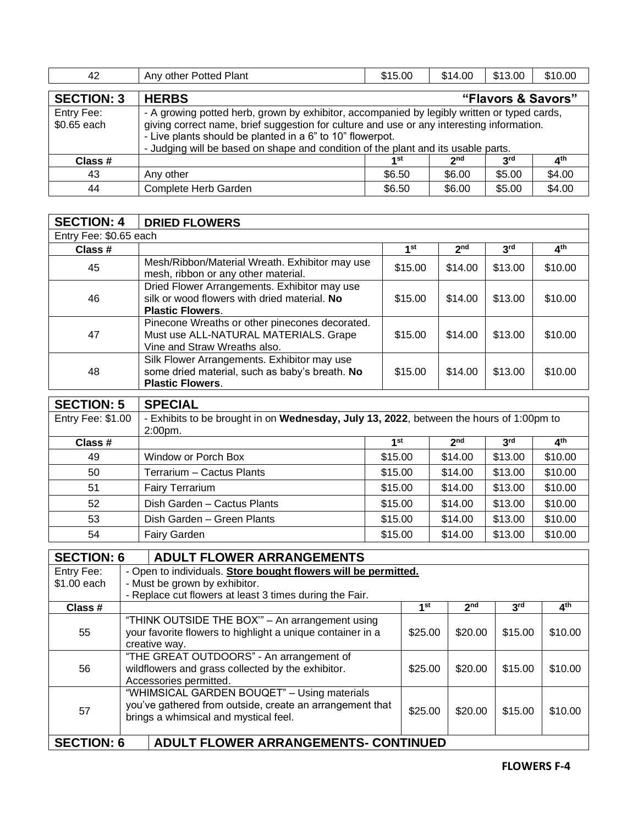| 42                        | Any other Potted Plant                                                                                                                                                                                                                                                                                                                     | \$15.00 | \$14.00         | \$13.00         | \$10.00 |  |  |  |
|---------------------------|--------------------------------------------------------------------------------------------------------------------------------------------------------------------------------------------------------------------------------------------------------------------------------------------------------------------------------------------|---------|-----------------|-----------------|---------|--|--|--|
| <b>SECTION: 3</b>         | <b>HERBS</b><br>"Flavors & Savors"                                                                                                                                                                                                                                                                                                         |         |                 |                 |         |  |  |  |
| Entry Fee:<br>\$0.65 each | - A growing potted herb, grown by exhibitor, accompanied by legibly written or typed cards,<br>giving correct name, brief suggestion for culture and use or any interesting information.<br>- Live plants should be planted in a 6" to 10" flowerpot.<br>- Judging will be based on shape and condition of the plant and its usable parts. |         |                 |                 |         |  |  |  |
| Class #                   |                                                                                                                                                                                                                                                                                                                                            | 1st     | 2 <sub>nd</sub> | 3 <sup>rd</sup> | ⊿th     |  |  |  |
| 43                        | Any other                                                                                                                                                                                                                                                                                                                                  | \$6.50  | \$6.00          | \$5.00          | \$4.00  |  |  |  |
| 44                        | Complete Herb Garden                                                                                                                                                                                                                                                                                                                       | \$6.50  | \$6.00          | \$5.00          | \$4.00  |  |  |  |

| <b>SECTION: 4</b>        | <b>DRIED FLOWERS</b>                                                                                                     |                 |                 |                                                                                                                 |                 |
|--------------------------|--------------------------------------------------------------------------------------------------------------------------|-----------------|-----------------|-----------------------------------------------------------------------------------------------------------------|-----------------|
| Entry Fee: \$0.65 each   |                                                                                                                          |                 |                 |                                                                                                                 |                 |
| Class #                  |                                                                                                                          | 1 <sup>st</sup> | 2 <sub>nd</sub> | 3 <sup>rd</sup>                                                                                                 | 4 <sup>th</sup> |
| 45                       | Mesh/Ribbon/Material Wreath. Exhibitor may use<br>mesh, ribbon or any other material.                                    | \$15.00         | \$14.00         | \$13.00                                                                                                         | \$10.00         |
| 46                       | Dried Flower Arrangements. Exhibitor may use<br>silk or wood flowers with dried material. No<br><b>Plastic Flowers.</b>  | \$15.00         | \$14.00         | \$13.00<br>\$14.00<br>\$13.00<br>\$14.00<br>\$13.00<br>2 <sub>nd</sub><br>3 <sup>rd</sup><br>\$13.00<br>\$14.00 |                 |
| 47                       | Pinecone Wreaths or other pinecones decorated.<br>Must use ALL-NATURAL MATERIALS. Grape<br>Vine and Straw Wreaths also.  | \$15.00         |                 |                                                                                                                 | \$10.00         |
| 48                       | Silk Flower Arrangements. Exhibitor may use<br>some dried material, such as baby's breath. No<br><b>Plastic Flowers.</b> | \$15.00         |                 |                                                                                                                 | \$10.00         |
| <b>SECTION: 5</b>        | <b>SPECIAL</b>                                                                                                           |                 |                 |                                                                                                                 |                 |
| <b>Entry Fee: \$1.00</b> | - Exhibits to be brought in on Wednesday, July 13, 2022, between the hours of 1:00pm to<br>2:00pm.                       |                 |                 |                                                                                                                 |                 |
| Class #                  |                                                                                                                          | 1 <sup>st</sup> |                 |                                                                                                                 | 4 <sup>th</sup> |
| 49                       | Window or Porch Box                                                                                                      | \$15.00         |                 |                                                                                                                 | \$10.00         |
| 50                       | Terrarium - Cactus Plants                                                                                                | \$15.00         | \$14.00         | \$13.00                                                                                                         | \$10.00         |
| 51                       | <b>Fairy Terrarium</b>                                                                                                   | \$15,00         | \$14.00         | \$13,00                                                                                                         | \$10,00         |

| <b>OFOTION</b> A | A BULLE FL AMER A BRANAFMENTA |         |         |         |         |
|------------------|-------------------------------|---------|---------|---------|---------|
|                  |                               |         |         |         |         |
| 54               | <b>Fairy Garden</b>           | \$15.00 | \$14.00 | \$13.00 | \$10.00 |
| 53               | Dish Garden - Green Plants    | \$15.00 | \$14.00 | \$13.00 | \$10.00 |
| 52               | Dish Garden - Cactus Plants   | \$15.00 | \$14.00 | \$13.00 | \$10.00 |
| 51               | <b>Fairy Terrarium</b>        | \$15.00 | \$14.00 | \$13.00 | \$10.00 |

|                   | <b>SECTION: 6</b><br><b>ADULT FLOWER ARRANGEMENTS</b>                                                                                            |                 |                 |                 |                 |  |  |
|-------------------|--------------------------------------------------------------------------------------------------------------------------------------------------|-----------------|-----------------|-----------------|-----------------|--|--|
| Entry Fee:        | - Open to individuals. Store bought flowers will be permitted.                                                                                   |                 |                 |                 |                 |  |  |
| \$1.00 each       | - Must be grown by exhibitor.                                                                                                                    |                 |                 |                 |                 |  |  |
|                   | - Replace cut flowers at least 3 times during the Fair.                                                                                          |                 |                 |                 |                 |  |  |
| Class #           |                                                                                                                                                  | 1 <sup>st</sup> | 2 <sub>nd</sub> | 3 <sup>rd</sup> | 4 <sup>th</sup> |  |  |
| 55                | "THINK OUTSIDE THE BOX" - An arrangement using<br>your favorite flowers to highlight a unique container in a<br>creative way.                    | \$25.00         | \$20.00         | \$15.00         | \$10.00         |  |  |
| 56                | "THE GREAT OUTDOORS" - An arrangement of<br>wildflowers and grass collected by the exhibitor.<br>Accessories permitted.                          | \$25.00         | \$20.00         | \$15.00         | \$10.00         |  |  |
| 57                | "WHIMSICAL GARDEN BOUQET" - Using materials<br>you've gathered from outside, create an arrangement that<br>brings a whimsical and mystical feel. | \$25.00         | \$20.00         | \$15.00         | \$10.00         |  |  |
| <b>SECTION: 6</b> | <b>ADULT FLOWER ARRANGEMENTS- CONTINUED</b>                                                                                                      |                 |                 |                 |                 |  |  |